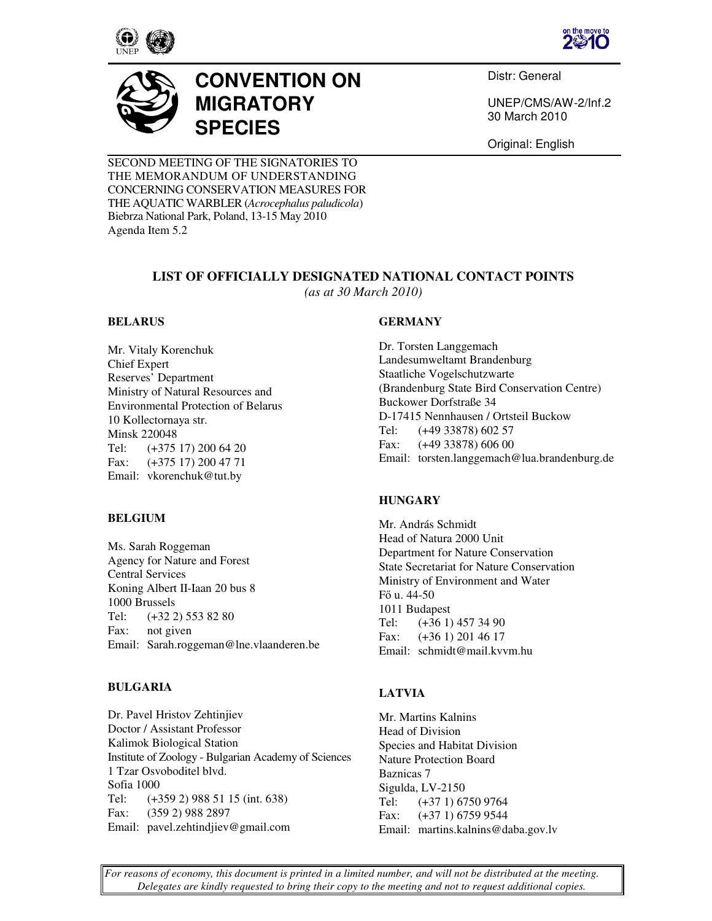





# **CONVENTION ON MIGRATORY SPECIES**

Distr: General

UNEP/CMS/AW-2/Inf.2 30 March 2010

Original: English

SECOND MEETING OF THE SIGNATORIES TO THE MEMORANDUM OF UNDERSTANDING CONCERNING CONSERVATION MEASURES FOR THE AQUATIC WARBLER (*Acrocephalus paludicola*) Biebrza National Park, Poland, 13-15 May 2010 Agenda Item 5.2

# **LIST OF OFFICIALLY DESIGNATED NATIONAL CONTACT POINTS**  *(as at 30 March 2010)*

## **BELARUS**

Mr. Vitaly Korenchuk Chief Expert Reserves' Department Ministry of Natural Resources and Environmental Protection of Belarus 10 Kollectornaya str. Minsk 220048 Tel: (+375 17) 200 64 20 Fax: (+375 17) 200 47 71 Email: vkorenchuk@tut.by

## **BELGIUM**

Ms. Sarah Roggeman Agency for Nature and Forest Central Services Koning Albert II-Iaan 20 bus 8 1000 Brussels Tel: (+32 2) 553 82 80 Fax: not given Email: Sarah.roggeman@lne.vlaanderen.be

## **BULGARIA**

Dr. Pavel Hristov Zehtinjiev Doctor / Assistant Professor Kalimok Biological Station Institute of Zoology - Bulgarian Academy of Sciences 1 Tzar Osvoboditel blvd. Sofia 1000 Tel: (+359 2) 988 51 15 (int. 638) Fax: (359 2) 988 2897 Email: pavel.zehtindjiev@gmail.com

## **GERMANY**

Dr. Torsten Langgemach Landesumweltamt Brandenburg Staatliche Vogelschutzwarte (Brandenburg State Bird Conservation Centre) Buckower Dorfstraße 34 D-17415 Nennhausen / Ortsteil Buckow Tel: (+49 33878) 602 57 Fax: (+49 33878) 606 00 Email: torsten.langgemach@lua.brandenburg.de

## **HUNGARY**

Mr. András Schmidt Head of Natura 2000 Unit Department for Nature Conservation State Secretariat for Nature Conservation Ministry of Environment and Water Fő u. 44-50 1011 Budapest Tel: (+36 1) 457 34 90 Fax: (+36 1) 201 46 17 Email: schmidt@mail.kvvm.hu

# **LATVIA**

Mr. Martins Kalnins Head of Division Species and Habitat Division Nature Protection Board Baznicas 7 Sigulda, LV-2150 Tel: (+37 1) 6750 9764 Fax: (+37 1) 6759 9544 Email: martins.kalnins@daba.gov.lv

*For reasons of economy, this document is printed in a limited number, and will not be distributed at the meeting. Delegates are kindly requested to bring their copy to the meeting and not to request additional copies.*